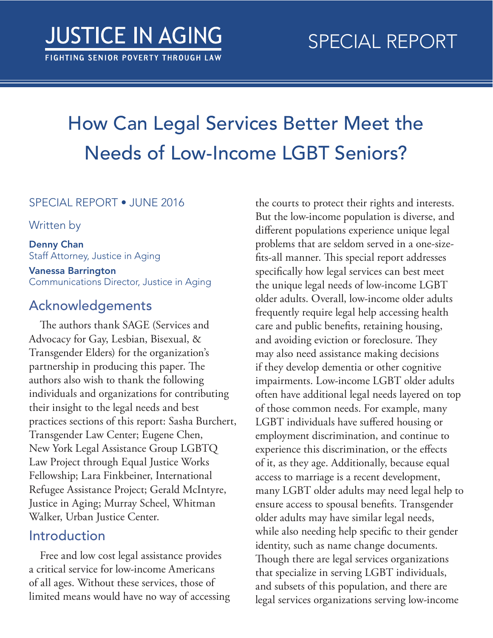# How Can Legal Services Better Meet the Needs of Low-Income LGBT Seniors?

#### SPECIAL REPORT • JUNE 2016

Written by

Denny Chan Staff Attorney, Justice in Aging

Vanessa Barrington Communications Director, Justice in Aging

### Acknowledgements

The authors thank SAGE (Services and Advocacy for Gay, Lesbian, Bisexual, & Transgender Elders) for the organization's partnership in producing this paper. The authors also wish to thank the following individuals and organizations for contributing their insight to the legal needs and best practices sections of this report: Sasha Burchert, Transgender Law Center; Eugene Chen, New York Legal Assistance Group LGBTQ Law Project through Equal Justice Works Fellowship; Lara Finkbeiner, International Refugee Assistance Project; Gerald McIntyre, Justice in Aging; Murray Scheel, Whitman Walker, Urban Justice Center.

### Introduction

Free and low cost legal assistance provides a critical service for low-income Americans of all ages. Without these services, those of limited means would have no way of accessing

the courts to protect their rights and interests. But the low-income population is diverse, and different populations experience unique legal problems that are seldom served in a one-sizefits-all manner. This special report addresses specifically how legal services can best meet the unique legal needs of low-income LGBT older adults. Overall, low-income older adults frequently require legal help accessing health care and public benefits, retaining housing, and avoiding eviction or foreclosure. They may also need assistance making decisions if they develop dementia or other cognitive impairments. Low-income LGBT older adults often have additional legal needs layered on top of those common needs. For example, many LGBT individuals have suffered housing or employment discrimination, and continue to experience this discrimination, or the effects of it, as they age. Additionally, because equal access to marriage is a recent development, many LGBT older adults may need legal help to ensure access to spousal benefits. Transgender older adults may have similar legal needs, while also needing help specific to their gender identity, such as name change documents. Though there are legal services organizations that specialize in serving LGBT individuals, and subsets of this population, and there are legal services organizations serving low-income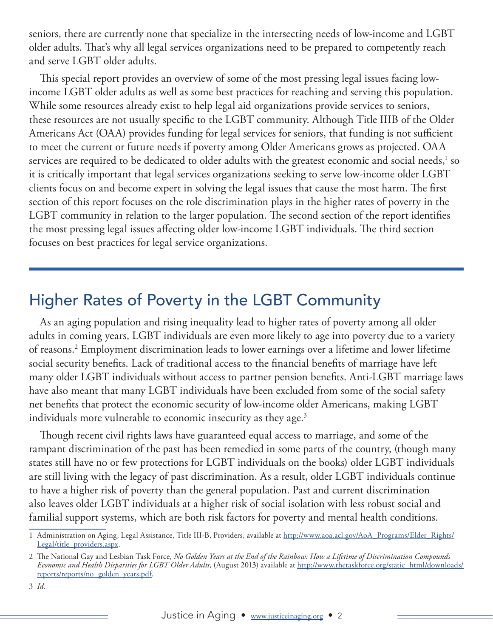seniors, there are currently none that specialize in the intersecting needs of low-income and LGBT older adults. That's why all legal services organizations need to be prepared to competently reach and serve LGBT older adults.

This special report provides an overview of some of the most pressing legal issues facing lowincome LGBT older adults as well as some best practices for reaching and serving this population. While some resources already exist to help legal aid organizations provide services to seniors, these resources are not usually specific to the LGBT community. Although Title IIIB of the Older Americans Act (OAA) provides funding for legal services for seniors, that funding is not sufficient to meet the current or future needs if poverty among Older Americans grows as projected. OAA services are required to be dedicated to older adults with the greatest economic and social needs, $^{\rm 1}$  so it is critically important that legal services organizations seeking to serve low-income older LGBT clients focus on and become expert in solving the legal issues that cause the most harm. The first section of this report focuses on the role discrimination plays in the higher rates of poverty in the LGBT community in relation to the larger population. The second section of the report identifies the most pressing legal issues affecting older low-income LGBT individuals. The third section focuses on best practices for legal service organizations.

## Higher Rates of Poverty in the LGBT Community

As an aging population and rising inequality lead to higher rates of poverty among all older adults in coming years, LGBT individuals are even more likely to age into poverty due to a variety of reasons.2 Employment discrimination leads to lower earnings over a lifetime and lower lifetime social security benefits. Lack of traditional access to the financial benefits of marriage have left many older LGBT individuals without access to partner pension benefits. Anti-LGBT marriage laws have also meant that many LGBT individuals have been excluded from some of the social safety net benefits that protect the economic security of low-income older Americans, making LGBT individuals more vulnerable to economic insecurity as they age.<sup>3</sup>

Though recent civil rights laws have guaranteed equal access to marriage, and some of the rampant discrimination of the past has been remedied in some parts of the country, (though many states still have no or few protections for LGBT individuals on the books) older LGBT individuals are still living with the legacy of past discrimination. As a result, older LGBT individuals continue to have a higher risk of poverty than the general population. Past and current discrimination also leaves older LGBT individuals at a higher risk of social isolation with less robust social and familial support systems, which are both risk factors for poverty and mental health conditions.

<sup>1</sup> Administration on Aging, Legal Assistance, Title III-B, Providers, available at [http://www.aoa.acl.gov/AoA\\_Programs/Elder\\_Rights/](http://www.aoa.acl.gov/AoA_Programs/Elder_Rights/Legal/title_providers.aspx) [Legal/title\\_providers.aspx.](http://www.aoa.acl.gov/AoA_Programs/Elder_Rights/Legal/title_providers.aspx)

<sup>2</sup> The National Gay and Lesbian Task Force, *No Golden Years at the End of the Rainbow: How a Lifetime of Discrimination Compounds Economic and Health Disparities for LGBT Older Adults*, (August 2013) available at [http://www.thetaskforce.org/static\\_html/downloads/](http://www.thetaskforce.org/static_html/downloads/reports/reports/no_golden_years.pdf) [reports/reports/no\\_golden\\_years.pdf](http://www.thetaskforce.org/static_html/downloads/reports/reports/no_golden_years.pdf).

<sup>3</sup> *Id*.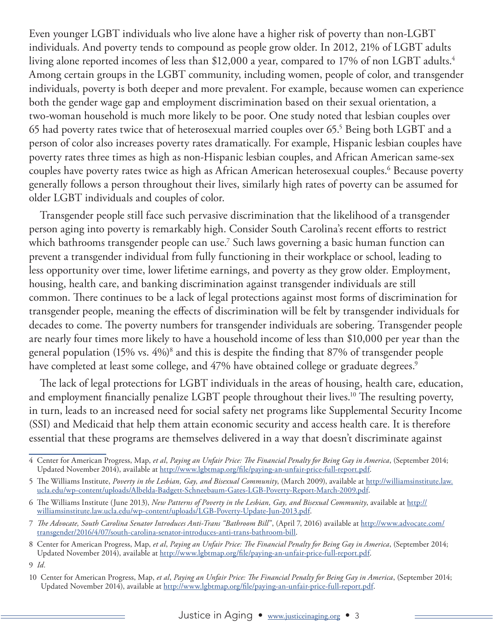Even younger LGBT individuals who live alone have a higher risk of poverty than non-LGBT individuals. And poverty tends to compound as people grow older. In 2012, 21% of LGBT adults living alone reported incomes of less than \$12,000 a year, compared to 17% of non LGBT adults.<sup>4</sup> Among certain groups in the LGBT community, including women, people of color, and transgender individuals, poverty is both deeper and more prevalent. For example, because women can experience both the gender wage gap and employment discrimination based on their sexual orientation, a two-woman household is much more likely to be poor. One study noted that lesbian couples over 65 had poverty rates twice that of heterosexual married couples over 65. $^5$  Being both LGBT and a person of color also increases poverty rates dramatically. For example, Hispanic lesbian couples have poverty rates three times as high as non-Hispanic lesbian couples, and African American same-sex couples have poverty rates twice as high as African American heterosexual couples.6 Because poverty generally follows a person throughout their lives, similarly high rates of poverty can be assumed for older LGBT individuals and couples of color.

Transgender people still face such pervasive discrimination that the likelihood of a transgender person aging into poverty is remarkably high. Consider South Carolina's recent efforts to restrict which bathrooms transgender people can use.7 Such laws governing a basic human function can prevent a transgender individual from fully functioning in their workplace or school, leading to less opportunity over time, lower lifetime earnings, and poverty as they grow older. Employment, housing, health care, and banking discrimination against transgender individuals are still common. There continues to be a lack of legal protections against most forms of discrimination for transgender people, meaning the effects of discrimination will be felt by transgender individuals for decades to come. The poverty numbers for transgender individuals are sobering. Transgender people are nearly four times more likely to have a household income of less than \$10,000 per year than the general population (15% vs. 4%)8 and this is despite the finding that 87% of transgender people have completed at least some college, and 47% have obtained college or graduate degrees.<sup>9</sup>

The lack of legal protections for LGBT individuals in the areas of housing, health care, education, and employment financially penalize LGBT people throughout their lives.<sup>10</sup> The resulting poverty, in turn, leads to an increased need for social safety net programs like Supplemental Security Income (SSI) and Medicaid that help them attain economic security and access health care. It is therefore essential that these programs are themselves delivered in a way that doesn't discriminate against

<sup>4</sup> Center for American Progress, Map, *et al*, *Paying an Unfair Price: The Financial Penalty for Being Gay in America*, (September 2014; Updated November 2014), available at <http://www.lgbtmap.org/file/paying-an-unfair-price-full-report.pdf>.

<sup>5</sup> The Williams Institute, *Poverty in the Lesbian, Gay, and Bisexual Community*, (March 2009), available at [http://williamsinstitute.law.](http://williamsinstitute.law.ucla.edu/wp-content/uploads/Albelda-Badgett-Schneebaum-Gates-LGB-Poverty-Report-March-2009.pdf) [ucla.edu/wp-content/uploads/Albelda-Badgett-Schneebaum-Gates-LGB-Poverty-Report-March-2009.pdf](http://williamsinstitute.law.ucla.edu/wp-content/uploads/Albelda-Badgett-Schneebaum-Gates-LGB-Poverty-Report-March-2009.pdf).

<sup>6</sup> The Williams Institute (June 2013), *New Patterns of Poverty in the Lesbian, Gay, and Bisexual Community*, available at [http://](http://williamsinstitute.law.ucla.edu/wp-content/uploads/LGB-Poverty-Update-Jun-2013.pdf) [williamsinstitute.law.ucla.edu/wp-content/uploads/LGB-Poverty-Update-Jun-2013.pdf.](http://williamsinstitute.law.ucla.edu/wp-content/uploads/LGB-Poverty-Update-Jun-2013.pdf)

<sup>7</sup> *The Advocate, South Carolina Senator Introduces Anti-Trans "Bathroom Bill*", (April 7, 2016) available at [http://www.advocate.com/](http://www.advocate.com/transgender/2016/4/07/south-carolina-senator-introduces-anti-trans-bathroom-bill) [transgender/2016/4/07/south-carolina-senator-introduces-anti-trans-bathroom-bill](http://www.advocate.com/transgender/2016/4/07/south-carolina-senator-introduces-anti-trans-bathroom-bill).

<sup>8</sup> Center for American Progress, Map, *et al*, *Paying an Unfair Price: The Financial Penalty for Being Gay in America*, (September 2014; Updated November 2014), available at <http://www.lgbtmap.org/file/paying-an-unfair-price-full-report.pdf>.

<sup>9</sup> *Id.*

<sup>10</sup> Center for American Progress, Map, *et al*, *Paying an Unfair Price: The Financial Penalty for Being Gay in America*, (September 2014; Updated November 2014), available at [http://www.lgbtmap.org/file/paying-an-unfair-price-full-report.pdf.](http://www.lgbtmap.org/file/paying-an-unfair-price-full-report.pdf)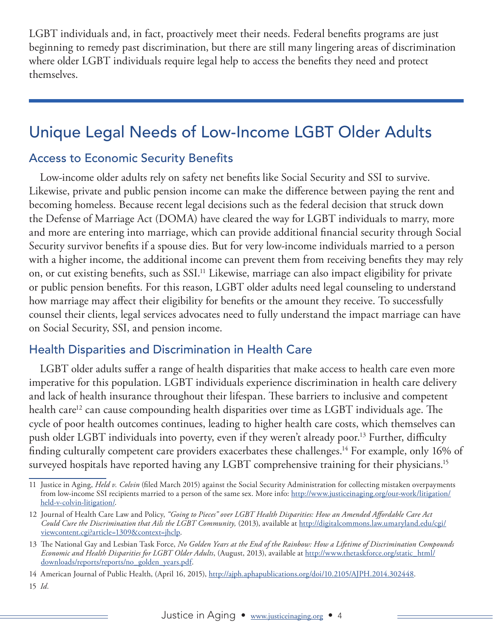LGBT individuals and, in fact, proactively meet their needs. Federal benefits programs are just beginning to remedy past discrimination, but there are still many lingering areas of discrimination where older LGBT individuals require legal help to access the benefits they need and protect themselves.

## Unique Legal Needs of Low-Income LGBT Older Adults

#### Access to Economic Security Benefits

Low-income older adults rely on safety net benefits like Social Security and SSI to survive. Likewise, private and public pension income can make the difference between paying the rent and becoming homeless. Because recent legal decisions such as the federal decision that struck down the Defense of Marriage Act (DOMA) have cleared the way for LGBT individuals to marry, more and more are entering into marriage, which can provide additional financial security through Social Security survivor benefits if a spouse dies. But for very low-income individuals married to a person with a higher income, the additional income can prevent them from receiving benefits they may rely on, or cut existing benefits, such as SSI.<sup>11</sup> Likewise, marriage can also impact eligibility for private or public pension benefits. For this reason, LGBT older adults need legal counseling to understand how marriage may affect their eligibility for benefits or the amount they receive. To successfully counsel their clients, legal services advocates need to fully understand the impact marriage can have on Social Security, SSI, and pension income.

#### Health Disparities and Discrimination in Health Care

LGBT older adults suffer a range of health disparities that make access to health care even more imperative for this population. LGBT individuals experience discrimination in health care delivery and lack of health insurance throughout their lifespan. These barriers to inclusive and competent health care<sup>12</sup> can cause compounding health disparities over time as LGBT individuals age. The cycle of poor health outcomes continues, leading to higher health care costs, which themselves can push older LGBT individuals into poverty, even if they weren't already poor.13 Further, difficulty finding culturally competent care providers exacerbates these challenges.<sup>14</sup> For example, only 16% of surveyed hospitals have reported having any LGBT comprehensive training for their physicians.<sup>15</sup>

<sup>11</sup> Justice in Aging, *Held v. Colvin* (filed March 2015) against the Social Security Administration for collecting mistaken overpayments from low-income SSI recipients married to a person of the same sex. More info: [http://www.justiceinaging.org/our-work/litigation/](http://www.justiceinaging.org/our-work/litigation/held-v-colvin-litigation/) [held-v-colvin-litigation/](http://www.justiceinaging.org/our-work/litigation/held-v-colvin-litigation/).

<sup>12</sup> Journal of Health Care Law and Policy, *"Going to Pieces" over LGBT Health Disparities: How an Amended Affordable Care Act Could Cure the Discrimination that Ails the LGBT Community,* (2013), available at [http://digitalcommons.law.umaryland.edu/cgi/](http://digitalcommons.law.umaryland.edu/cgi/viewcontent.cgi?article=1309&context=jhclp) [viewcontent.cgi?article=1309&context=jhclp.](http://digitalcommons.law.umaryland.edu/cgi/viewcontent.cgi?article=1309&context=jhclp)

<sup>13</sup> The National Gay and Lesbian Task Force, *No Golden Years at the End of the Rainbow: How a Lifetime of Discrimination Compounds Economic and Health Disparities for LGBT Older Adults*, (August, 2013), available at [http://www.thetaskforce.org/static\\_html/](http://www.thetaskforce.org/static_html/downloads/reports/reports/no_golden_years.pdf) [downloads/reports/reports/no\\_golden\\_years.pdf](http://www.thetaskforce.org/static_html/downloads/reports/reports/no_golden_years.pdf).

<sup>14</sup> American Journal of Public Health, (April 16, 2015),<http://ajph.aphapublications.org/doi/10.2105/AJPH.2014.302448>.

<sup>15</sup> *Id.*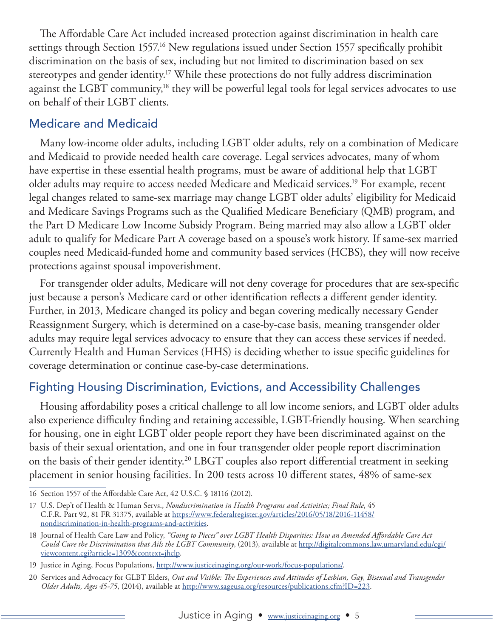The Affordable Care Act included increased protection against discrimination in health care settings through Section 1557.<sup>16</sup> New regulations issued under Section 1557 specifically prohibit discrimination on the basis of sex, including but not limited to discrimination based on sex stereotypes and gender identity.<sup>17</sup> While these protections do not fully address discrimination against the LGBT community,<sup>18</sup> they will be powerful legal tools for legal services advocates to use on behalf of their LGBT clients.

#### Medicare and Medicaid

Many low-income older adults, including LGBT older adults, rely on a combination of Medicare and Medicaid to provide needed health care coverage. Legal services advocates, many of whom have expertise in these essential health programs, must be aware of additional help that LGBT older adults may require to access needed Medicare and Medicaid services.19 For example, recent legal changes related to same-sex marriage may change LGBT older adults' eligibility for Medicaid and Medicare Savings Programs such as the Qualified Medicare Beneficiary (QMB) program, and the Part D Medicare Low Income Subsidy Program. Being married may also allow a LGBT older adult to qualify for Medicare Part A coverage based on a spouse's work history. If same-sex married couples need Medicaid-funded home and community based services (HCBS), they will now receive protections against spousal impoverishment.

For transgender older adults, Medicare will not deny coverage for procedures that are sex-specific just because a person's Medicare card or other identification reflects a different gender identity. Further, in 2013, Medicare changed its policy and began covering medically necessary Gender Reassignment Surgery, which is determined on a case-by-case basis, meaning transgender older adults may require legal services advocacy to ensure that they can access these services if needed. Currently Health and Human Services (HHS) is deciding whether to issue specific guidelines for coverage determination or continue case-by-case determinations.

#### Fighting Housing Discrimination, Evictions, and Accessibility Challenges

Housing affordability poses a critical challenge to all low income seniors, and LGBT older adults also experience difficulty finding and retaining accessible, LGBT-friendly housing. When searching for housing, one in eight LGBT older people report they have been discriminated against on the basis of their sexual orientation, and one in four transgender older people report discrimination on the basis of their gender identity.<sup>20</sup> LBGT couples also report differential treatment in seeking placement in senior housing facilities. In 200 tests across 10 different states, 48% of same-sex

<sup>16</sup> Section 1557 of the Affordable Care Act, 42 U.S.C. § 18116 (2012).

<sup>17</sup> U.S. Dep't of Health & Human Servs., *Nondiscrimination in Health Programs and Activities; Final Rule*, 45 C.F.R. Part 92, 81 FR 31375, available at [https://www.federalregister.gov/articles/2016/05/18/2016-11458/](https://www.federalregister.gov/articles/2016/05/18/2016-11458/nondiscrimination-in-health-programs-and-activities) [nondiscrimination-in-health-programs-and-activities.](https://www.federalregister.gov/articles/2016/05/18/2016-11458/nondiscrimination-in-health-programs-and-activities)

<sup>18</sup> Journal of Health Care Law and Policy, *"Going to Pieces" over LGBT Health Disparities: How an Amended Affordable Care Act Could Cure the Discrimination that Ails the LGBT Community*, (2013), available at [http://digitalcommons.law.umaryland.edu/cgi/](http://digitalcommons.law.umaryland.edu/cgi/viewcontent.cgi?article=1309&context=jhclp) [viewcontent.cgi?article=1309&context=jhclp](http://digitalcommons.law.umaryland.edu/cgi/viewcontent.cgi?article=1309&context=jhclp).

<sup>19</sup> Justice in Aging, Focus Populations, [http://www.justiceinaging.org/our-work/focus-populations/.](http://www.justiceinaging.org/our-work/focus-populations/)

<sup>20</sup> Services and Advocacy for GLBT Elders, *Out and Visible: The Experiences and Attitudes of Lesbian, Gay, Bisexual and Transgender Older Adults, Ages 45-75*, (2014), available at<http://www.sageusa.org/resources/publications.cfm?ID=223>.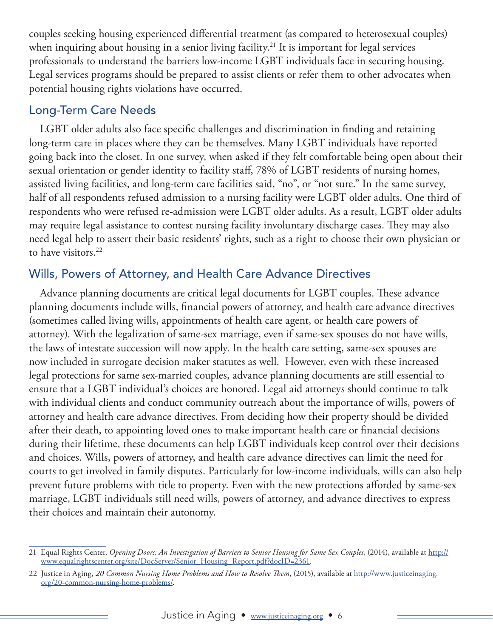couples seeking housing experienced differential treatment (as compared to heterosexual couples) when inquiring about housing in a senior living facility.<sup>21</sup> It is important for legal services professionals to understand the barriers low-income LGBT individuals face in securing housing. Legal services programs should be prepared to assist clients or refer them to other advocates when potential housing rights violations have occurred.

#### Long-Term Care Needs

LGBT older adults also face specific challenges and discrimination in finding and retaining long-term care in places where they can be themselves. Many LGBT individuals have reported going back into the closet. In one survey, when asked if they felt comfortable being open about their sexual orientation or gender identity to facility staff, 78% of LGBT residents of nursing homes, assisted living facilities, and long-term care facilities said, "no", or "not sure." In the same survey, half of all respondents refused admission to a nursing facility were LGBT older adults. One third of respondents who were refused re-admission were LGBT older adults. As a result, LGBT older adults may require legal assistance to contest nursing facility involuntary discharge cases. They may also need legal help to assert their basic residents' rights, such as a right to choose their own physician or to have visitors.<sup>22</sup>

#### Wills, Powers of Attorney, and Health Care Advance Directives

Advance planning documents are critical legal documents for LGBT couples. These advance planning documents include wills, financial powers of attorney, and health care advance directives (sometimes called living wills, appointments of health care agent, or health care powers of attorney). With the legalization of same-sex marriage, even if same-sex spouses do not have wills, the laws of intestate succession will now apply. In the health care setting, same-sex spouses are now included in surrogate decision maker statutes as well. However, even with these increased legal protections for same sex-married couples, advance planning documents are still essential to ensure that a LGBT individual's choices are honored. Legal aid attorneys should continue to talk with individual clients and conduct community outreach about the importance of wills, powers of attorney and health care advance directives. From deciding how their property should be divided after their death, to appointing loved ones to make important health care or financial decisions during their lifetime, these documents can help LGBT individuals keep control over their decisions and choices. Wills, powers of attorney, and health care advance directives can limit the need for courts to get involved in family disputes. Particularly for low-income individuals, wills can also help prevent future problems with title to property. Even with the new protections afforded by same-sex marriage, LGBT individuals still need wills, powers of attorney, and advance directives to express their choices and maintain their autonomy.

<sup>21</sup> Equal Rights Center, *Opening Doors: An Investigation of Barriers to Senior Housing for Same Sex Couples*, (2014), available at [http://](http://www.equalrightscenter.org/site/DocServer/Senior_Housing_Report.pdf?docID=2361) [www.equalrightscenter.org/site/DocServer/Senior\\_Housing\\_Report.pdf?docID=2361.](http://www.equalrightscenter.org/site/DocServer/Senior_Housing_Report.pdf?docID=2361)

<sup>22</sup> Justice in Aging, *20 Common Nursing Home Problems and How to Resolve Them*, (2015), available at [http://www.justiceinaging.](http://www.justiceinaging.org/20-common-nursing-home-problems/) [org/20-common-nursing-home-problems/](http://www.justiceinaging.org/20-common-nursing-home-problems/).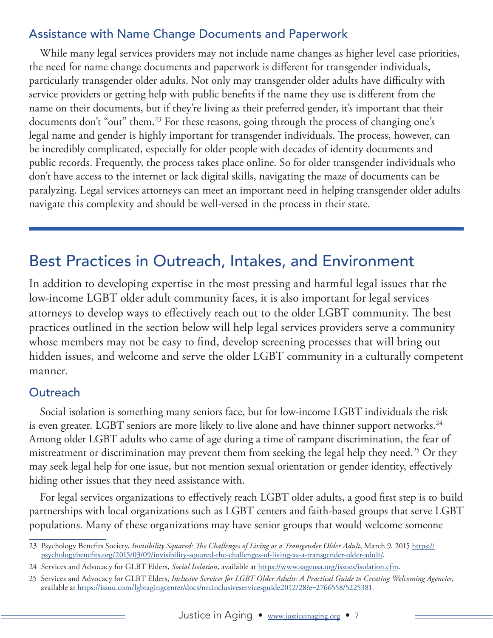### Assistance with Name Change Documents and Paperwork

While many legal services providers may not include name changes as higher level case priorities, the need for name change documents and paperwork is different for transgender individuals, particularly transgender older adults. Not only may transgender older adults have difficulty with service providers or getting help with public benefits if the name they use is different from the name on their documents, but if they're living as their preferred gender, it's important that their documents don't "out" them.<sup>23</sup> For these reasons, going through the process of changing one's legal name and gender is highly important for transgender individuals. The process, however, can be incredibly complicated, especially for older people with decades of identity documents and public records. Frequently, the process takes place online. So for older transgender individuals who don't have access to the internet or lack digital skills, navigating the maze of documents can be paralyzing. Legal services attorneys can meet an important need in helping transgender older adults navigate this complexity and should be well-versed in the process in their state.

## Best Practices in Outreach, Intakes, and Environment

In addition to developing expertise in the most pressing and harmful legal issues that the low-income LGBT older adult community faces, it is also important for legal services attorneys to develop ways to effectively reach out to the older LGBT community. The best practices outlined in the section below will help legal services providers serve a community whose members may not be easy to find, develop screening processes that will bring out hidden issues, and welcome and serve the older LGBT community in a culturally competent manner.

#### **Outreach**

Social isolation is something many seniors face, but for low-income LGBT individuals the risk is even greater. LGBT seniors are more likely to live alone and have thinner support networks.<sup>24</sup> Among older LGBT adults who came of age during a time of rampant discrimination, the fear of mistreatment or discrimination may prevent them from seeking the legal help they need.<sup>25</sup> Or they may seek legal help for one issue, but not mention sexual orientation or gender identity, effectively hiding other issues that they need assistance with.

For legal services organizations to effectively reach LGBT older adults, a good first step is to build partnerships with local organizations such as LGBT centers and faith-based groups that serve LGBT populations. Many of these organizations may have senior groups that would welcome someone

<sup>23</sup> Psychology Benefits Society, *Invisibility Squared: The Challenges of Living as a Transgender Older Adult*, March 9, 2015 [https://](https://psychologybenefits.org/2015/03/09/invisibility-squared-the-challenges-of-living-as-a-transgender-older-adult/) [psychologybenefits.org/2015/03/09/invisibility-squared-the-challenges-of-living-as-a-transgender-older-adult/](https://psychologybenefits.org/2015/03/09/invisibility-squared-the-challenges-of-living-as-a-transgender-older-adult/).

<sup>24</sup> Services and Advocacy for GLBT Elders, *Social Isolation*, available at [https://www.sageusa.org/issues/isolation.cfm.](https://www.sageusa.org/issues/isolation.cfm)

<sup>25</sup> Services and Advocacy for GLBT Elders, *Inclusive Services for LGBT Older Adults: A Practical Guide to Creating Welcoming Agencies*, available at<https://issuu.com/lgbtagingcenter/docs/nrcinclusiveservicesguide2012/28?e=2766558/5225381>.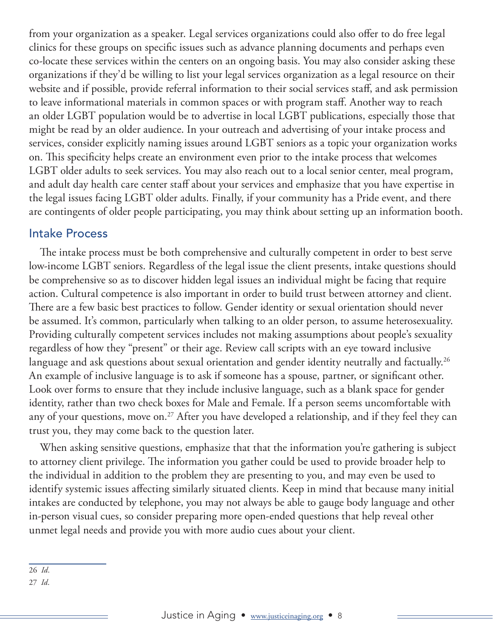from your organization as a speaker. Legal services organizations could also offer to do free legal clinics for these groups on specific issues such as advance planning documents and perhaps even co-locate these services within the centers on an ongoing basis. You may also consider asking these organizations if they'd be willing to list your legal services organization as a legal resource on their website and if possible, provide referral information to their social services staff, and ask permission to leave informational materials in common spaces or with program staff. Another way to reach an older LGBT population would be to advertise in local LGBT publications, especially those that might be read by an older audience. In your outreach and advertising of your intake process and services, consider explicitly naming issues around LGBT seniors as a topic your organization works on. This specificity helps create an environment even prior to the intake process that welcomes LGBT older adults to seek services. You may also reach out to a local senior center, meal program, and adult day health care center staff about your services and emphasize that you have expertise in the legal issues facing LGBT older adults. Finally, if your community has a Pride event, and there are contingents of older people participating, you may think about setting up an information booth.

#### Intake Process

The intake process must be both comprehensive and culturally competent in order to best serve low-income LGBT seniors. Regardless of the legal issue the client presents, intake questions should be comprehensive so as to discover hidden legal issues an individual might be facing that require action. Cultural competence is also important in order to build trust between attorney and client. There are a few basic best practices to follow. Gender identity or sexual orientation should never be assumed. It's common, particularly when talking to an older person, to assume heterosexuality. Providing culturally competent services includes not making assumptions about people's sexuality regardless of how they "present" or their age. Review call scripts with an eye toward inclusive language and ask questions about sexual orientation and gender identity neutrally and factually.<sup>26</sup> An example of inclusive language is to ask if someone has a spouse, partner, or significant other. Look over forms to ensure that they include inclusive language, such as a blank space for gender identity, rather than two check boxes for Male and Female. If a person seems uncomfortable with any of your questions, move on.<sup>27</sup> After you have developed a relationship, and if they feel they can trust you, they may come back to the question later.

When asking sensitive questions, emphasize that that the information you're gathering is subject to attorney client privilege. The information you gather could be used to provide broader help to the individual in addition to the problem they are presenting to you, and may even be used to identify systemic issues affecting similarly situated clients. Keep in mind that because many initial intakes are conducted by telephone, you may not always be able to gauge body language and other in-person visual cues, so consider preparing more open-ended questions that help reveal other unmet legal needs and provide you with more audio cues about your client.

26 *Id*.

27 *Id*.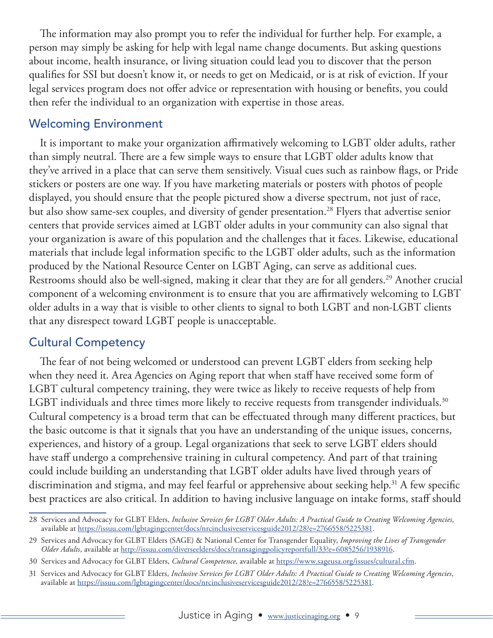The information may also prompt you to refer the individual for further help. For example, a person may simply be asking for help with legal name change documents. But asking questions about income, health insurance, or living situation could lead you to discover that the person qualifies for SSI but doesn't know it, or needs to get on Medicaid, or is at risk of eviction. If your legal services program does not offer advice or representation with housing or benefits, you could then refer the individual to an organization with expertise in those areas.

#### Welcoming Environment

It is important to make your organization affirmatively welcoming to LGBT older adults, rather than simply neutral. There are a few simple ways to ensure that LGBT older adults know that they've arrived in a place that can serve them sensitively. Visual cues such as rainbow flags, or Pride stickers or posters are one way. If you have marketing materials or posters with photos of people displayed, you should ensure that the people pictured show a diverse spectrum, not just of race, but also show same-sex couples, and diversity of gender presentation.<sup>28</sup> Flyers that advertise senior centers that provide services aimed at LGBT older adults in your community can also signal that your organization is aware of this population and the challenges that it faces. Likewise, educational materials that include legal information specific to the LGBT older adults, such as the information produced by the National Resource Center on LGBT Aging, can serve as additional cues. Restrooms should also be well-signed, making it clear that they are for all genders.<sup>29</sup> Another crucial component of a welcoming environment is to ensure that you are affirmatively welcoming to LGBT older adults in a way that is visible to other clients to signal to both LGBT and non-LGBT clients that any disrespect toward LGBT people is unacceptable.

#### Cultural Competency

The fear of not being welcomed or understood can prevent LGBT elders from seeking help when they need it. Area Agencies on Aging report that when staff have received some form of LGBT cultural competency training, they were twice as likely to receive requests of help from LGBT individuals and three times more likely to receive requests from transgender individuals.<sup>30</sup> Cultural competency is a broad term that can be effectuated through many different practices, but the basic outcome is that it signals that you have an understanding of the unique issues, concerns, experiences, and history of a group. Legal organizations that seek to serve LGBT elders should have staff undergo a comprehensive training in cultural competency. And part of that training could include building an understanding that LGBT older adults have lived through years of discrimination and stigma, and may feel fearful or apprehensive about seeking help.<sup>31</sup> A few specific best practices are also critical. In addition to having inclusive language on intake forms, staff should

<sup>28</sup> Services and Advocacy for GLBT Elders, *Inclusive Services for LGBT Older Adults: A Practical Guide to Creating Welcoming Agencies*, available at [https://issuu.com/lgbtagingcenter/docs/nrcinclusiveservicesguide2012/28?e=2766558/5225381.](https://issuu.com/lgbtagingcenter/docs/nrcinclusiveservicesguide2012/28?e=2766558/5225381)

<sup>29</sup> Services and Advocacy for GLBT Elders (SAGE) & National Center for Transgender Equality, *Improving the Lives of Transgender Older Adults*, available at [http://issuu.com/diverseelders/docs/transagingpolicyreportfull/33?e=6085256/1938916.](https://issuu.com/diverseelders/docs/transagingpolicyreportfull/33?e=6085256/1938916)

<sup>30</sup> Services and Advocacy for GLBT Elders, *Cultural Competence*, available at [https://www.sageusa.org/issues/cultural.cfm.](https://www.sageusa.org/issues/cultural.cfm)

<sup>31</sup> Services and Advocacy for GLBT Elders, *Inclusive Services for LGBT Older Adults: A Practical Guide to Creating Welcoming Agencies*, available at<https://issuu.com/lgbtagingcenter/docs/nrcinclusiveservicesguide2012/28?e=2766558/5225381>.